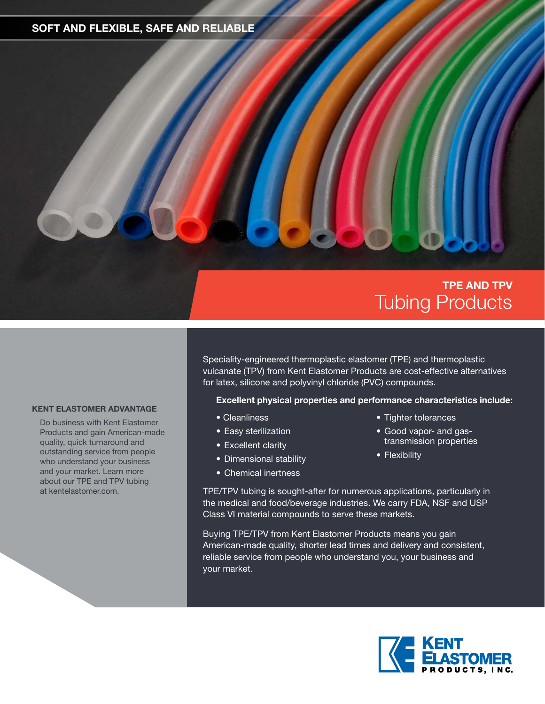### **SOFT AND FLEXIBLE, SAFE AND RELIABLE**

## **TPE AND TPV** Tubing Products

Speciality-engineered thermoplastic elastomer (TPE) and thermoplastic vulcanate (TPV) from Kent Elastomer Products are cost-effective alternatives for latex, silicone and polyvinyl chloride (PVC) compounds.

#### **Excellent physical properties and performance characteristics include:**

- Cleanliness
- Easy sterilization
- Excellent clarity
- Dimensional stability
- Chemical inertness
- Tighter tolerances
- Good vapor- and gastransmission properties
- Flexibility

TPE/TPV tubing is sought-after for numerous applications, particularly in the medical and food/beverage industries. We carry FDA, NSF and USP Class VI material compounds to serve these markets.

Buying TPE/TPV from Kent Elastomer Products means you gain American-made quality, shorter lead times and delivery and consistent, reliable service from people who understand you, your business and your market.

**KENT ELASTOMER ADVANTAGE**

Do business with Kent Elastomer Products and gain American-made quality, quick turnaround and outstanding service from people who understand your business and your market. Learn more about our TPE and TPV tubing at kentelastomer.com.